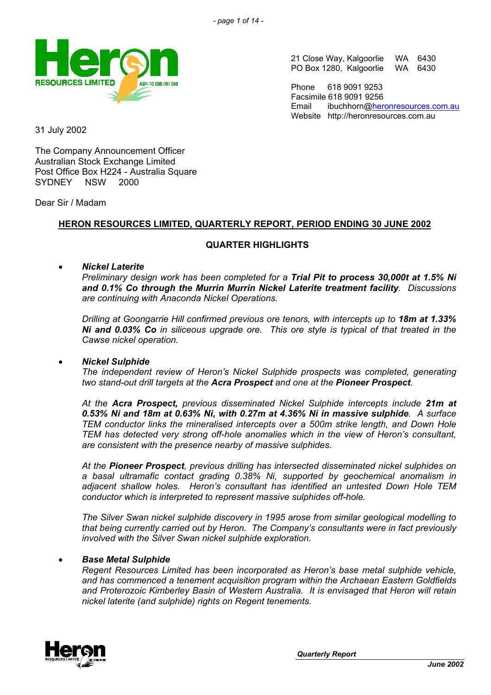

21 Close Way, Kalgoorlie WA 6430<br>PO Box 1280, Kalgoorlie WA 6430 PO Box 1280, Kalgoorlie

Phone 618 9091 9253 Facsimile 618 9091 9256 Email ibuchhorn@[heronresources.com.au](mailto:heron@emerge.net.au) Website http://heronresources.com.au

31 July 2002

The Company Announcement Officer Australian Stock Exchange Limited Post Office Box H224 - Australia Square SYDNEY NSW 2000

Dear Sir / Madam

## **HERON RESOURCES LIMITED, QUARTERLY REPORT, PERIOD ENDING 30 JUNE 2002**

## **QUARTER HIGHLIGHTS**

#### • *Nickel Laterite*

*Preliminary design work has been completed for a Trial Pit to process 30,000t at 1.5% Ni and 0.1% Co through the Murrin Murrin Nickel Laterite treatment facility. Discussions are continuing with Anaconda Nickel Operations.*

*Drilling at Goongarrie Hill confirmed previous ore tenors, with intercepts up to 18m at 1.33% Ni and 0.03% Co in siliceous upgrade ore. This ore style is typical of that treated in the Cawse nickel operation.*

#### • *Nickel Sulphide*

*The independent review of Heron's Nickel Sulphide prospects was completed, generating two stand-out drill targets at the Acra Prospect and one at the Pioneer Prospect.*

*At the Acra Prospect, previous disseminated Nickel Sulphide intercepts include 21m at 0.53% Ni and 18m at 0.63% Ni, with 0.27m at 4.36% Ni in massive sulphide. A surface TEM conductor links the mineralised intercepts over a 500m strike length, and Down Hole TEM has detected very strong off-hole anomalies which in the view of Heron's consultant, are consistent with the presence nearby of massive sulphides.*

*At the Pioneer Prospect, previous drilling has intersected disseminated nickel sulphides on a basal ultramafic contact grading 0.38% Ni, supported by geochemical anomalism in adjacent shallow holes. Heron's consultant has identified an untested Down Hole TEM conductor which is interpreted to represent massive sulphides off-hole.*

*The Silver Swan nickel sulphide discovery in 1995 arose from similar geological modelling to that being currently carried out by Heron. The Company's consultants were in fact previously involved with the Silver Swan nickel sulphide exploration.*

#### • *Base Metal Sulphide*

*Regent Resources Limited has been incorporated as Heron's base metal sulphide vehicle, and has commenced a tenement acquisition program within the Archaean Eastern Goldfields and Proterozoic Kimberley Basin of Western Australia. It is envisaged that Heron will retain nickel laterite (and sulphide) rights on Regent tenements.*

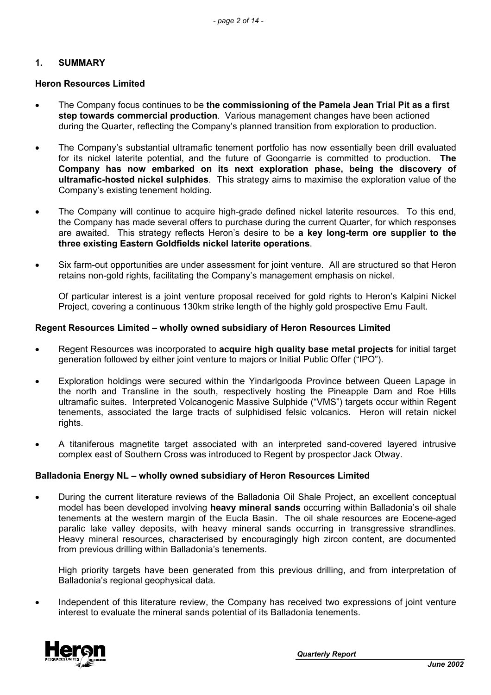### **1. SUMMARY**

#### **Heron Resources Limited**

- The Company focus continues to be **the commissioning of the Pamela Jean Trial Pit as a first step towards commercial production**. Various management changes have been actioned during the Quarter, reflecting the Company's planned transition from exploration to production.
- The Company's substantial ultramafic tenement portfolio has now essentially been drill evaluated for its nickel laterite potential, and the future of Goongarrie is committed to production. **The Company has now embarked on its next exploration phase, being the discovery of ultramafic-hosted nickel sulphides**. This strategy aims to maximise the exploration value of the Company's existing tenement holding.
- The Company will continue to acquire high-grade defined nickel laterite resources. To this end, the Company has made several offers to purchase during the current Quarter, for which responses are awaited. This strategy reflects Heron's desire to be **a key long-term ore supplier to the three existing Eastern Goldfields nickel laterite operations**.
- Six farm-out opportunities are under assessment for joint venture. All are structured so that Heron retains non-gold rights, facilitating the Company's management emphasis on nickel.

Of particular interest is a joint venture proposal received for gold rights to Heron's Kalpini Nickel Project, covering a continuous 130km strike length of the highly gold prospective Emu Fault.

#### **Regent Resources Limited – wholly owned subsidiary of Heron Resources Limited**

- Regent Resources was incorporated to **acquire high quality base metal projects** for initial target generation followed by either joint venture to majors or Initial Public Offer ("IPO").
- Exploration holdings were secured within the Yindarlgooda Province between Queen Lapage in the north and Transline in the south, respectively hosting the Pineapple Dam and Roe Hills ultramafic suites. Interpreted Volcanogenic Massive Sulphide ("VMS") targets occur within Regent tenements, associated the large tracts of sulphidised felsic volcanics. Heron will retain nickel rights.
- A titaniferous magnetite target associated with an interpreted sand-covered layered intrusive complex east of Southern Cross was introduced to Regent by prospector Jack Otway.

#### **Balladonia Energy NL – wholly owned subsidiary of Heron Resources Limited**

• During the current literature reviews of the Balladonia Oil Shale Project, an excellent conceptual model has been developed involving **heavy mineral sands** occurring within Balladonia's oil shale tenements at the western margin of the Eucla Basin. The oil shale resources are Eocene-aged paralic lake valley deposits, with heavy mineral sands occurring in transgressive strandlines. Heavy mineral resources, characterised by encouragingly high zircon content, are documented from previous drilling within Balladonia's tenements.

High priority targets have been generated from this previous drilling, and from interpretation of Balladonia's regional geophysical data.

• Independent of this literature review, the Company has received two expressions of joint venture interest to evaluate the mineral sands potential of its Balladonia tenements.

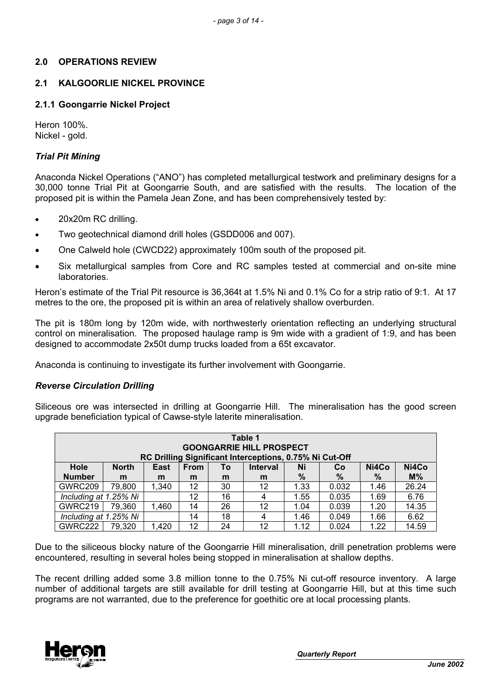## **2.0 OPERATIONS REVIEW**

## **2.1 KALGOORLIE NICKEL PROVINCE**

### **2.1.1 Goongarrie Nickel Project**

Heron 100%. Nickel - gold.

### *Trial Pit Mining*

Anaconda Nickel Operations ("ANO") has completed metallurgical testwork and preliminary designs for a 30,000 tonne Trial Pit at Goongarrie South, and are satisfied with the results. The location of the proposed pit is within the Pamela Jean Zone, and has been comprehensively tested by:

- 20x20m RC drilling.
- Two geotechnical diamond drill holes (GSDD006 and 007).
- One Calweld hole (CWCD22) approximately 100m south of the proposed pit.
- Six metallurgical samples from Core and RC samples tested at commercial and on-site mine laboratories.

Heron's estimate of the Trial Pit resource is 36,364t at 1.5% Ni and 0.1% Co for a strip ratio of 9:1. At 17 metres to the ore, the proposed pit is within an area of relatively shallow overburden.

The pit is 180m long by 120m wide, with northwesterly orientation reflecting an underlying structural control on mineralisation. The proposed haulage ramp is 9m wide with a gradient of 1:9, and has been designed to accommodate 2x50t dump trucks loaded from a 65t excavator.

Anaconda is continuing to investigate its further involvement with Goongarrie.

#### *Reverse Circulation Drilling*

Siliceous ore was intersected in drilling at Goongarrie Hill. The mineralisation has the good screen upgrade beneficiation typical of Cawse-style laterite mineralisation.

| Table 1<br><b>GOONGARRIE HILL PROSPECT</b><br>RC Drilling Significant Interceptions, 0.75% Ni Cut-Off |              |       |             |    |                 |      |       |       |       |
|-------------------------------------------------------------------------------------------------------|--------------|-------|-------------|----|-----------------|------|-------|-------|-------|
| <b>Hole</b>                                                                                           | <b>North</b> | East  | <b>From</b> | To | <b>Interval</b> | Ni   | Co    | Ni4Co | Ni4Co |
| <b>Number</b>                                                                                         | m            | m     | m           | m  | m               | %    | %     | %     | $M\%$ |
| GWRC209                                                                                               | 79,800       | 1,340 | 12          | 30 | 12              | 1.33 | 0.032 | 1.46  | 26.24 |
| Including at 1.25% Ni                                                                                 |              |       | 12          | 16 | 4               | 1.55 | 0.035 | 1.69  | 6.76  |
| GWRC219                                                                                               | 79,360       | 1,460 | 14          | 26 | 12              | 1.04 | 0.039 | 1.20  | 14.35 |
| Including at 1.25% Ni                                                                                 |              |       | 14          | 18 | 4               | 1.46 | 0.049 | 1.66  | 6.62  |
| GWRC222                                                                                               | 79,320       | 1,420 | 12          | 24 | 12              | 1.12 | 0.024 | 1.22  | 14.59 |

Due to the siliceous blocky nature of the Goongarrie Hill mineralisation, drill penetration problems were encountered, resulting in several holes being stopped in mineralisation at shallow depths.

The recent drilling added some 3.8 million tonne to the 0.75% Ni cut-off resource inventory. A large number of additional targets are still available for drill testing at Goongarrie Hill, but at this time such programs are not warranted, due to the preference for goethitic ore at local processing plants.

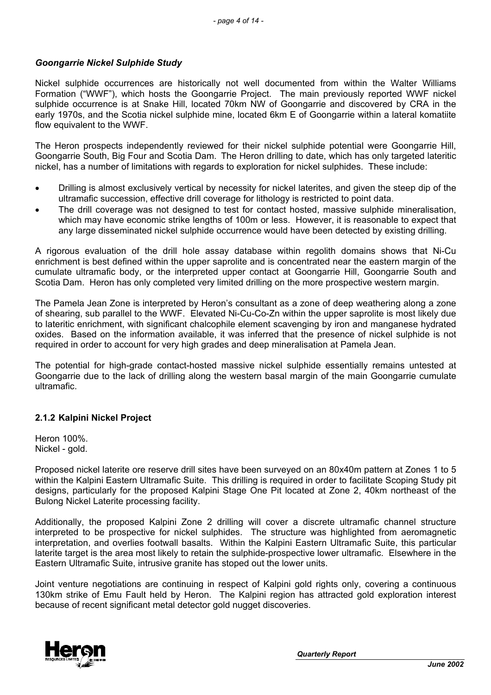### *Goongarrie Nickel Sulphide Study*

Nickel sulphide occurrences are historically not well documented from within the Walter Williams Formation ("WWF"), which hosts the Goongarrie Project. The main previously reported WWF nickel sulphide occurrence is at Snake Hill, located 70km NW of Goongarrie and discovered by CRA in the early 1970s, and the Scotia nickel sulphide mine, located 6km E of Goongarrie within a lateral komatiite flow equivalent to the WWF.

The Heron prospects independently reviewed for their nickel sulphide potential were Goongarrie Hill, Goongarrie South, Big Four and Scotia Dam. The Heron drilling to date, which has only targeted lateritic nickel, has a number of limitations with regards to exploration for nickel sulphides. These include:

- Drilling is almost exclusively vertical by necessity for nickel laterites, and given the steep dip of the ultramafic succession, effective drill coverage for lithology is restricted to point data.
- The drill coverage was not designed to test for contact hosted, massive sulphide mineralisation, which may have economic strike lengths of 100m or less. However, it is reasonable to expect that any large disseminated nickel sulphide occurrence would have been detected by existing drilling.

A rigorous evaluation of the drill hole assay database within regolith domains shows that Ni-Cu enrichment is best defined within the upper saprolite and is concentrated near the eastern margin of the cumulate ultramafic body, or the interpreted upper contact at Goongarrie Hill, Goongarrie South and Scotia Dam. Heron has only completed very limited drilling on the more prospective western margin.

The Pamela Jean Zone is interpreted by Heron's consultant as a zone of deep weathering along a zone of shearing, sub parallel to the WWF. Elevated Ni-Cu-Co-Zn within the upper saprolite is most likely due to lateritic enrichment, with significant chalcophile element scavenging by iron and manganese hydrated oxides. Based on the information available, it was inferred that the presence of nickel sulphide is not required in order to account for very high grades and deep mineralisation at Pamela Jean.

The potential for high-grade contact-hosted massive nickel sulphide essentially remains untested at Goongarrie due to the lack of drilling along the western basal margin of the main Goongarrie cumulate ultramafic.

#### **2.1.2 Kalpini Nickel Project**

Heron 100%. Nickel - gold.

Proposed nickel laterite ore reserve drill sites have been surveyed on an 80x40m pattern at Zones 1 to 5 within the Kalpini Eastern Ultramafic Suite. This drilling is required in order to facilitate Scoping Study pit designs, particularly for the proposed Kalpini Stage One Pit located at Zone 2, 40km northeast of the Bulong Nickel Laterite processing facility.

Additionally, the proposed Kalpini Zone 2 drilling will cover a discrete ultramafic channel structure interpreted to be prospective for nickel sulphides. The structure was highlighted from aeromagnetic interpretation, and overlies footwall basalts. Within the Kalpini Eastern Ultramafic Suite, this particular laterite target is the area most likely to retain the sulphide-prospective lower ultramafic. Elsewhere in the Eastern Ultramafic Suite, intrusive granite has stoped out the lower units.

Joint venture negotiations are continuing in respect of Kalpini gold rights only, covering a continuous 130km strike of Emu Fault held by Heron. The Kalpini region has attracted gold exploration interest because of recent significant metal detector gold nugget discoveries.



*Quarterly Report*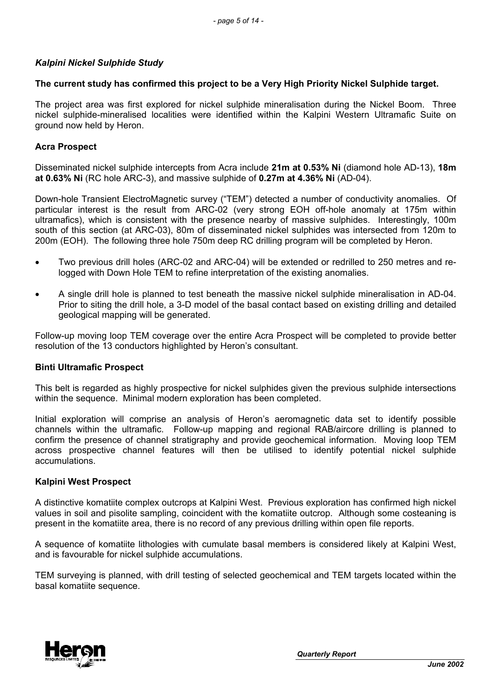## *Kalpini Nickel Sulphide Study*

#### **The current study has confirmed this project to be a Very High Priority Nickel Sulphide target.**

The project area was first explored for nickel sulphide mineralisation during the Nickel Boom. Three nickel sulphide-mineralised localities were identified within the Kalpini Western Ultramafic Suite on ground now held by Heron.

### **Acra Prospect**

Disseminated nickel sulphide intercepts from Acra include **21m at 0.53% Ni** (diamond hole AD-13), **18m at 0.63% Ni** (RC hole ARC-3), and massive sulphide of **0.27m at 4.36% Ni** (AD-04).

Down-hole Transient ElectroMagnetic survey ("TEM") detected a number of conductivity anomalies. Of particular interest is the result from ARC-02 (very strong EOH off-hole anomaly at 175m within ultramafics), which is consistent with the presence nearby of massive sulphides. Interestingly, 100m south of this section (at ARC-03), 80m of disseminated nickel sulphides was intersected from 120m to 200m (EOH). The following three hole 750m deep RC drilling program will be completed by Heron.

- Two previous drill holes (ARC-02 and ARC-04) will be extended or redrilled to 250 metres and relogged with Down Hole TEM to refine interpretation of the existing anomalies.
- A single drill hole is planned to test beneath the massive nickel sulphide mineralisation in AD-04. Prior to siting the drill hole, a 3-D model of the basal contact based on existing drilling and detailed geological mapping will be generated.

Follow-up moving loop TEM coverage over the entire Acra Prospect will be completed to provide better resolution of the 13 conductors highlighted by Heron's consultant.

#### **Binti Ultramafic Prospect**

This belt is regarded as highly prospective for nickel sulphides given the previous sulphide intersections within the sequence. Minimal modern exploration has been completed.

Initial exploration will comprise an analysis of Heron's aeromagnetic data set to identify possible channels within the ultramafic. Follow-up mapping and regional RAB/aircore drilling is planned to confirm the presence of channel stratigraphy and provide geochemical information. Moving loop TEM across prospective channel features will then be utilised to identify potential nickel sulphide accumulations.

#### **Kalpini West Prospect**

A distinctive komatiite complex outcrops at Kalpini West. Previous exploration has confirmed high nickel values in soil and pisolite sampling, coincident with the komatiite outcrop. Although some costeaning is present in the komatiite area, there is no record of any previous drilling within open file reports.

A sequence of komatiite lithologies with cumulate basal members is considered likely at Kalpini West, and is favourable for nickel sulphide accumulations.

TEM surveying is planned, with drill testing of selected geochemical and TEM targets located within the basal komatiite sequence.

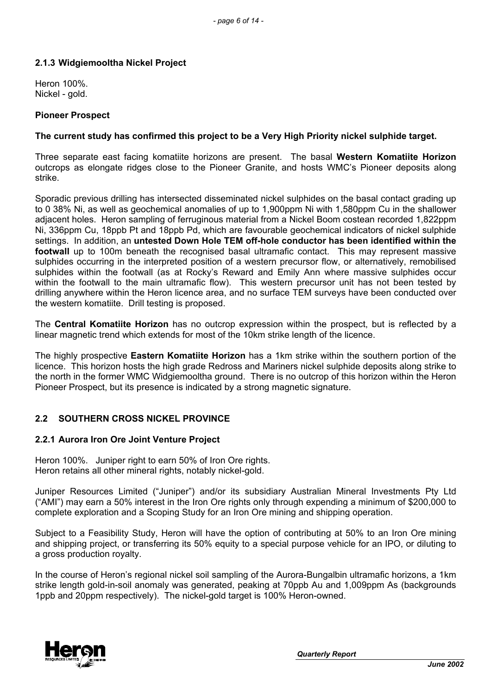## **2.1.3 Widgiemooltha Nickel Project**

Heron 100%. Nickel - gold.

#### **Pioneer Prospect**

### **The current study has confirmed this project to be a Very High Priority nickel sulphide target.**

Three separate east facing komatiite horizons are present. The basal **Western Komatiite Horizon** outcrops as elongate ridges close to the Pioneer Granite, and hosts WMC's Pioneer deposits along strike.

Sporadic previous drilling has intersected disseminated nickel sulphides on the basal contact grading up to 0 38% Ni, as well as geochemical anomalies of up to 1,900ppm Ni with 1,580ppm Cu in the shallower adjacent holes. Heron sampling of ferruginous material from a Nickel Boom costean recorded 1,822ppm Ni, 336ppm Cu, 18ppb Pt and 18ppb Pd, which are favourable geochemical indicators of nickel sulphide settings. In addition, an **untested Down Hole TEM off-hole conductor has been identified within the footwall** up to 100m beneath the recognised basal ultramafic contact. This may represent massive sulphides occurring in the interpreted position of a western precursor flow, or alternatively, remobilised sulphides within the footwall (as at Rocky's Reward and Emily Ann where massive sulphides occur within the footwall to the main ultramafic flow). This western precursor unit has not been tested by drilling anywhere within the Heron licence area, and no surface TEM surveys have been conducted over the western komatiite. Drill testing is proposed.

The **Central Komatiite Horizon** has no outcrop expression within the prospect, but is reflected by a linear magnetic trend which extends for most of the 10km strike length of the licence.

The highly prospective **Eastern Komatiite Horizon** has a 1km strike within the southern portion of the licence. This horizon hosts the high grade Redross and Mariners nickel sulphide deposits along strike to the north in the former WMC Widgiemooltha ground. There is no outcrop of this horizon within the Heron Pioneer Prospect, but its presence is indicated by a strong magnetic signature.

## **2.2 SOUTHERN CROSS NICKEL PROVINCE**

#### **2.2.1 Aurora Iron Ore Joint Venture Project**

Heron 100%. Juniper right to earn 50% of Iron Ore rights. Heron retains all other mineral rights, notably nickel-gold.

Juniper Resources Limited ("Juniper") and/or its subsidiary Australian Mineral Investments Pty Ltd ("AMI") may earn a 50% interest in the Iron Ore rights only through expending a minimum of \$200,000 to complete exploration and a Scoping Study for an Iron Ore mining and shipping operation.

Subject to a Feasibility Study, Heron will have the option of contributing at 50% to an Iron Ore mining and shipping project, or transferring its 50% equity to a special purpose vehicle for an IPO, or diluting to a gross production royalty.

In the course of Heron's regional nickel soil sampling of the Aurora-Bungalbin ultramafic horizons, a 1km strike length gold-in-soil anomaly was generated, peaking at 70ppb Au and 1,009ppm As (backgrounds 1ppb and 20ppm respectively). The nickel-gold target is 100% Heron-owned.



*Quarterly Report*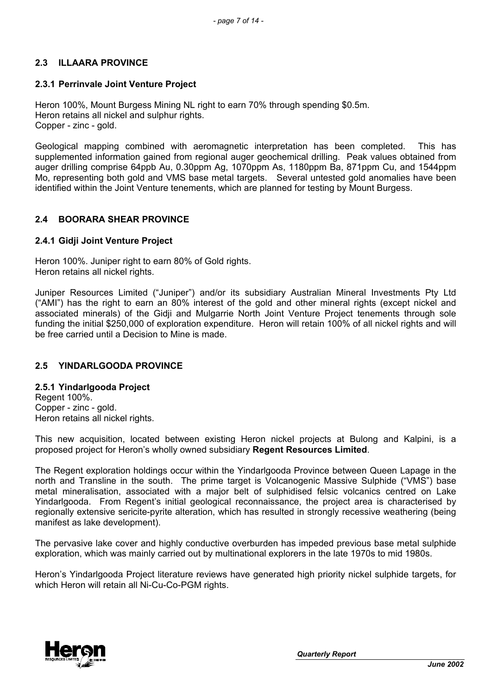## **2.3 ILLAARA PROVINCE**

# **2.3.1 Perrinvale Joint Venture Project**

Heron 100%, Mount Burgess Mining NL right to earn 70% through spending \$0.5m. Heron retains all nickel and sulphur rights. Copper - zinc - gold.

Geological mapping combined with aeromagnetic interpretation has been completed. This has supplemented information gained from regional auger geochemical drilling. Peak values obtained from auger drilling comprise 64ppb Au, 0.30ppm Ag, 1070ppm As, 1180ppm Ba, 871ppm Cu, and 1544ppm Mo, representing both gold and VMS base metal targets. Several untested gold anomalies have been identified within the Joint Venture tenements, which are planned for testing by Mount Burgess.

# **2.4 BOORARA SHEAR PROVINCE**

# **2.4.1 Gidji Joint Venture Project**

Heron 100%. Juniper right to earn 80% of Gold rights. Heron retains all nickel rights.

Juniper Resources Limited ("Juniper") and/or its subsidiary Australian Mineral Investments Pty Ltd ("AMI") has the right to earn an 80% interest of the gold and other mineral rights (except nickel and associated minerals) of the Gidji and Mulgarrie North Joint Venture Project tenements through sole funding the initial \$250,000 of exploration expenditure. Heron will retain 100% of all nickel rights and will be free carried until a Decision to Mine is made.

# **2.5 YINDARLGOODA PROVINCE**

## **2.5.1 Yindarlgooda Project**

Regent 100%. Copper - zinc - gold. Heron retains all nickel rights.

This new acquisition, located between existing Heron nickel projects at Bulong and Kalpini, is a proposed project for Heron's wholly owned subsidiary **Regent Resources Limited**.

The Regent exploration holdings occur within the Yindarlgooda Province between Queen Lapage in the north and Transline in the south. The prime target is Volcanogenic Massive Sulphide ("VMS") base metal mineralisation, associated with a major belt of sulphidised felsic volcanics centred on Lake Yindarlgooda. From Regent's initial geological reconnaissance, the project area is characterised by regionally extensive sericite-pyrite alteration, which has resulted in strongly recessive weathering (being manifest as lake development).

The pervasive lake cover and highly conductive overburden has impeded previous base metal sulphide exploration, which was mainly carried out by multinational explorers in the late 1970s to mid 1980s.

Heron's Yindarlgooda Project literature reviews have generated high priority nickel sulphide targets, for which Heron will retain all Ni-Cu-Co-PGM rights.

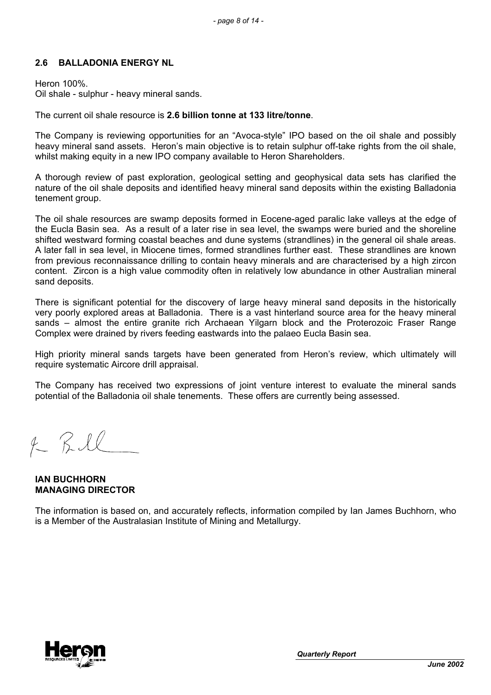## **2.6 BALLADONIA ENERGY NL**

Heron 100%. Oil shale - sulphur - heavy mineral sands.

#### The current oil shale resource is **2.6 billion tonne at 133 litre/tonne**.

The Company is reviewing opportunities for an "Avoca-style" IPO based on the oil shale and possibly heavy mineral sand assets. Heron's main objective is to retain sulphur off-take rights from the oil shale. whilst making equity in a new IPO company available to Heron Shareholders.

A thorough review of past exploration, geological setting and geophysical data sets has clarified the nature of the oil shale deposits and identified heavy mineral sand deposits within the existing Balladonia tenement group.

The oil shale resources are swamp deposits formed in Eocene-aged paralic lake valleys at the edge of the Eucla Basin sea. As a result of a later rise in sea level, the swamps were buried and the shoreline shifted westward forming coastal beaches and dune systems (strandlines) in the general oil shale areas. A later fall in sea level, in Miocene times, formed strandlines further east. These strandlines are known from previous reconnaissance drilling to contain heavy minerals and are characterised by a high zircon content. Zircon is a high value commodity often in relatively low abundance in other Australian mineral sand deposits.

There is significant potential for the discovery of large heavy mineral sand deposits in the historically very poorly explored areas at Balladonia. There is a vast hinterland source area for the heavy mineral sands – almost the entire granite rich Archaean Yilgarn block and the Proterozoic Fraser Range Complex were drained by rivers feeding eastwards into the palaeo Eucla Basin sea.

High priority mineral sands targets have been generated from Heron's review, which ultimately will require systematic Aircore drill appraisal.

The Company has received two expressions of joint venture interest to evaluate the mineral sands potential of the Balladonia oil shale tenements. These offers are currently being assessed.

 $2KRI$ 

**IAN BUCHHORN MANAGING DIRECTOR**

The information is based on, and accurately reflects, information compiled by Ian James Buchhorn, who is a Member of the Australasian Institute of Mining and Metallurgy.

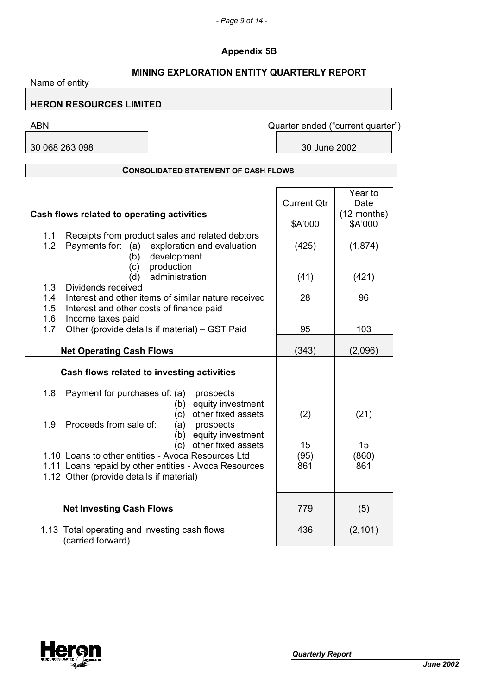# **Appendix 5B**

# **MINING EXPLORATION ENTITY QUARTERLY REPORT**

| Name of entity    |                                                                                                                                                                                   |                               |                                             |
|-------------------|-----------------------------------------------------------------------------------------------------------------------------------------------------------------------------------|-------------------------------|---------------------------------------------|
|                   | <b>HERON RESOURCES LIMITED</b>                                                                                                                                                    |                               |                                             |
| <b>ABN</b>        |                                                                                                                                                                                   |                               | Quarter ended ("current quarter")           |
|                   | 30 068 263 098                                                                                                                                                                    | 30 June 2002                  |                                             |
|                   |                                                                                                                                                                                   |                               |                                             |
|                   | <b>CONSOLIDATED STATEMENT OF CASH FLOWS</b>                                                                                                                                       |                               |                                             |
|                   | Cash flows related to operating activities                                                                                                                                        | <b>Current Qtr</b><br>\$A'000 | Year to<br>Date<br>$(12$ months)<br>\$A'000 |
| 1.1<br>1.2        | Receipts from product sales and related debtors<br>Payments for: (a) exploration and evaluation<br>development<br>(b)                                                             | (425)                         | (1,874)                                     |
|                   | production<br>(c)<br>administration<br>(d)                                                                                                                                        | (41)                          | (421)                                       |
| 1.3<br>1.4<br>1.5 | Dividends received<br>Interest and other items of similar nature received<br>Interest and other costs of finance paid                                                             | 28                            | 96                                          |
| 1.6<br>1.7        | Income taxes paid<br>Other (provide details if material) - GST Paid                                                                                                               | 95                            | 103                                         |
|                   | <b>Net Operating Cash Flows</b>                                                                                                                                                   | (343)                         | (2,096)                                     |
|                   | Cash flows related to investing activities                                                                                                                                        |                               |                                             |
| 1.8               | Payment for purchases of: (a)<br>prospects<br>equity investment<br>(b)                                                                                                            |                               |                                             |
| 1.9               | other fixed assets<br>(c)<br>Proceeds from sale of:<br>prospects<br>(a)<br>equity investment<br>(b)                                                                               | (2)                           | (21)                                        |
|                   | (c) other fixed assets<br>1.10 Loans to other entities - Avoca Resources Ltd<br>1.11 Loans repaid by other entities - Avoca Resources<br>1.12 Other (provide details if material) | 15<br>(95)<br>861             | 15<br>(860)<br>861                          |
|                   | <b>Net Investing Cash Flows</b>                                                                                                                                                   | 779                           | (5)                                         |
|                   | 1.13 Total operating and investing cash flows<br>(carried forward)                                                                                                                | 436                           | (2, 101)                                    |

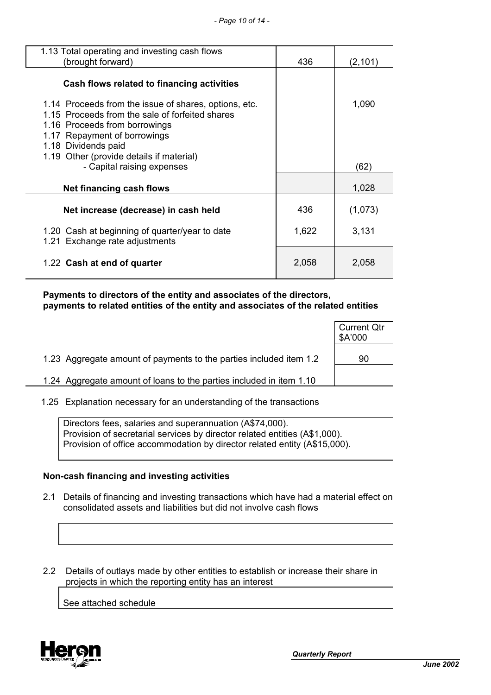| 1.13 Total operating and investing cash flows<br>(brought forward)                                                                                                                                                                                                         | 436   | (2, 101)      |
|----------------------------------------------------------------------------------------------------------------------------------------------------------------------------------------------------------------------------------------------------------------------------|-------|---------------|
| Cash flows related to financing activities                                                                                                                                                                                                                                 |       |               |
| 1.14 Proceeds from the issue of shares, options, etc.<br>1.15 Proceeds from the sale of forfeited shares<br>1.16 Proceeds from borrowings<br>1.17 Repayment of borrowings<br>1.18 Dividends paid<br>1.19 Other (provide details if material)<br>- Capital raising expenses |       | 1,090<br>(62) |
| Net financing cash flows                                                                                                                                                                                                                                                   |       | 1,028         |
| Net increase (decrease) in cash held                                                                                                                                                                                                                                       | 436   | (1,073)       |
| 1.20 Cash at beginning of quarter/year to date<br>1.21 Exchange rate adjustments                                                                                                                                                                                           | 1,622 | 3,131         |
| 1.22 Cash at end of quarter                                                                                                                                                                                                                                                | 2,058 | 2,058         |

 **Payments to directors of the entity and associates of the directors, payments to related entities of the entity and associates of the related entities**

|                                                                     | <b>Current Qtr</b><br>\$A'000 |
|---------------------------------------------------------------------|-------------------------------|
| 1.23 Aggregate amount of payments to the parties included item 1.2  | 90                            |
| 1.24 Aggregate amount of loans to the parties included in item 1.10 |                               |

1.25 Explanation necessary for an understanding of the transactions

Directors fees, salaries and superannuation (A\$74,000). Provision of secretarial services by director related entities (A\$1,000). Provision of office accommodation by director related entity (A\$15,000).

#### **Non-cash financing and investing activities**

- 2.1 Details of financing and investing transactions which have had a material effect on consolidated assets and liabilities but did not involve cash flows
- 2.2 Details of outlays made by other entities to establish or increase their share in projects in which the reporting entity has an interest

See attached schedule

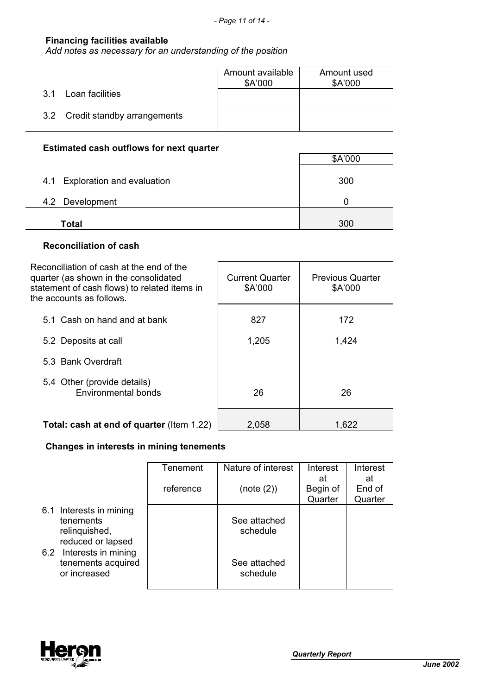## **Financing facilities available**

*Add notes as necessary for an understanding of the position*

|                                 | Amount available<br>\$A'000 | Amount used<br>\$A'000 |
|---------------------------------|-----------------------------|------------------------|
| Loan facilities<br>3 1          |                             |                        |
| 3.2 Credit standby arrangements |                             |                        |

## **Estimated cash outflows for next quarter**

|                                | \$A'000 |
|--------------------------------|---------|
| 4.1 Exploration and evaluation | 300     |
| 4.2 Development                |         |
| Total                          | 300     |

## **Reconciliation of cash**

| Reconciliation of cash at the end of the<br>quarter (as shown in the consolidated<br>statement of cash flows) to related items in<br>the accounts as follows. | <b>Current Quarter</b><br>\$A'000 | <b>Previous Quarter</b><br>\$A'000 |
|---------------------------------------------------------------------------------------------------------------------------------------------------------------|-----------------------------------|------------------------------------|
| 5.1 Cash on hand and at bank                                                                                                                                  | 827                               | 172                                |
| 5.2 Deposits at call                                                                                                                                          | 1,205                             | 1,424                              |
| 5.3 Bank Overdraft                                                                                                                                            |                                   |                                    |
| 5.4 Other (provide details)<br>Environmental bonds                                                                                                            | 26                                | 26                                 |
| <b>Total: cash at end of quarter (Item 1.22)</b>                                                                                                              | 2,058                             | 1,622                              |

## **Changes in interests in mining tenements**

|                                                                            | Tenement  | Nature of interest       | Interest<br>at      | Interest<br>at    |
|----------------------------------------------------------------------------|-----------|--------------------------|---------------------|-------------------|
|                                                                            | reference | (note (2))               | Begin of<br>Quarter | End of<br>Quarter |
| 6.1 Interests in mining<br>tenements<br>relinquished,<br>reduced or lapsed |           | See attached<br>schedule |                     |                   |
| Interests in mining<br>6.2<br>tenements acquired<br>or increased           |           | See attached<br>schedule |                     |                   |

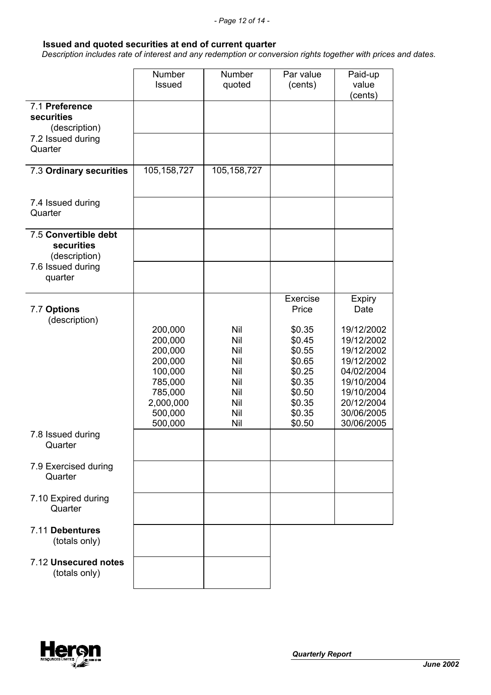#### **Issued and quoted securities at end of current quarter**

 *Description includes rate of interest and any redemption or conversion rights together with prices and dates.*

|                                                     | <b>Number</b><br><b>Issued</b>                                                                    | Number<br>quoted                                            | Par value<br>(cents)                                                                                        | Paid-up<br>value<br>(cents)                                                                                                                  |
|-----------------------------------------------------|---------------------------------------------------------------------------------------------------|-------------------------------------------------------------|-------------------------------------------------------------------------------------------------------------|----------------------------------------------------------------------------------------------------------------------------------------------|
| 7.1 Preference<br>securities<br>(description)       |                                                                                                   |                                                             |                                                                                                             |                                                                                                                                              |
| 7.2 Issued during<br>Quarter                        |                                                                                                   |                                                             |                                                                                                             |                                                                                                                                              |
| 7.3 Ordinary securities                             | 105,158,727                                                                                       | 105, 158, 727                                               |                                                                                                             |                                                                                                                                              |
| 7.4 Issued during<br>Quarter                        |                                                                                                   |                                                             |                                                                                                             |                                                                                                                                              |
| 7.5 Convertible debt<br>securities<br>(description) |                                                                                                   |                                                             |                                                                                                             |                                                                                                                                              |
| 7.6 Issued during<br>quarter                        |                                                                                                   |                                                             |                                                                                                             |                                                                                                                                              |
| 7.7 Options<br>(description)                        | 200,000<br>200,000<br>200,000<br>200,000<br>100,000<br>785,000<br>785,000<br>2,000,000<br>500,000 | Nil<br>Nil<br>Nil<br>Nil<br>Nil<br>Nil<br>Nil<br>Nil<br>Nil | Exercise<br>Price<br>\$0.35<br>\$0.45<br>\$0.55<br>\$0.65<br>\$0.25<br>\$0.35<br>\$0.50<br>\$0.35<br>\$0.35 | Expiry<br>Date<br>19/12/2002<br>19/12/2002<br>19/12/2002<br>19/12/2002<br>04/02/2004<br>19/10/2004<br>19/10/2004<br>20/12/2004<br>30/06/2005 |
| 7.8 Issued during<br>Quarter                        | 500,000                                                                                           | Nil                                                         | \$0.50                                                                                                      | 30/06/2005                                                                                                                                   |
| 7.9 Exercised during<br>Quarter                     |                                                                                                   |                                                             |                                                                                                             |                                                                                                                                              |
| 7.10 Expired during<br>Quarter                      |                                                                                                   |                                                             |                                                                                                             |                                                                                                                                              |
| 7.11 Debentures<br>(totals only)                    |                                                                                                   |                                                             |                                                                                                             |                                                                                                                                              |
| 7.12 Unsecured notes<br>(totals only)               |                                                                                                   |                                                             |                                                                                                             |                                                                                                                                              |

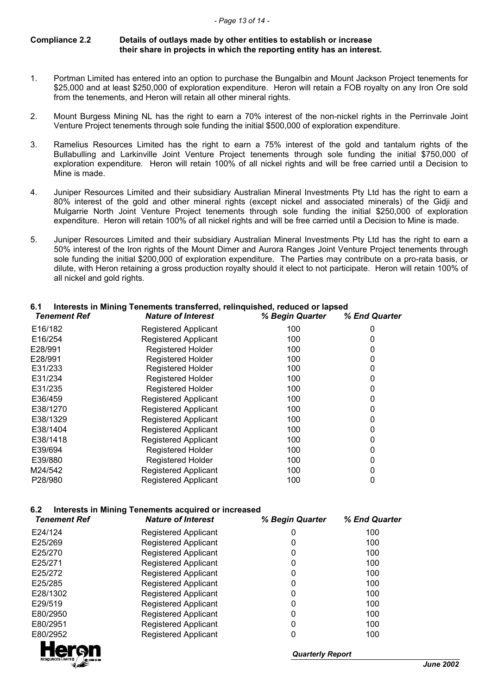#### **Compliance 2.2 Details of outlays made by other entities to establish or increase their share in projects in which the reporting entity has an interest.**

- 1. Portman Limited has entered into an option to purchase the Bungalbin and Mount Jackson Project tenements for \$25,000 and at least \$250,000 of exploration expenditure. Heron will retain a FOB royalty on any Iron Ore sold from the tenements, and Heron will retain all other mineral rights.
- 2. Mount Burgess Mining NL has the right to earn a 70% interest of the non-nickel rights in the Perrinvale Joint Venture Project tenements through sole funding the initial \$500,000 of exploration expenditure.
- 3. Ramelius Resources Limited has the right to earn a 75% interest of the gold and tantalum rights of the Bullabulling and Larkinville Joint Venture Project tenements through sole funding the initial \$750,000 of exploration expenditure. Heron will retain 100% of all nickel rights and will be free carried until a Decision to Mine is made.
- 4. Juniper Resources Limited and their subsidiary Australian Mineral Investments Pty Ltd has the right to earn a 80% interest of the gold and other mineral rights (except nickel and associated minerals) of the Gidji and Mulgarrie North Joint Venture Project tenements through sole funding the initial \$250,000 of exploration expenditure. Heron will retain 100% of all nickel rights and will be free carried until a Decision to Mine is made.
- 5. Juniper Resources Limited and their subsidiary Australian Mineral Investments Pty Ltd has the right to earn a 50% interest of the Iron rights of the Mount Dimer and Aurora Ranges Joint Venture Project tenements through sole funding the initial \$200,000 of exploration expenditure. The Parties may contribute on a pro-rata basis, or dilute, with Heron retaining a gross production royalty should it elect to not participate. Heron will retain 100% of all nickel and gold rights.

| <b>Tenement Ref</b> | <b>Nature of Interest</b>   | % Begin Quarter | % End Quarter |
|---------------------|-----------------------------|-----------------|---------------|
| E16/182             | <b>Registered Applicant</b> | 100             |               |
| E16/254             | <b>Registered Applicant</b> | 100             |               |
| E28/991             | <b>Registered Holder</b>    | 100             |               |
| E28/991             | <b>Registered Holder</b>    | 100             |               |
| E31/233             | <b>Registered Holder</b>    | 100             |               |
| E31/234             | <b>Registered Holder</b>    | 100             |               |
| E31/235             | <b>Registered Holder</b>    | 100             |               |
| E36/459             | <b>Registered Applicant</b> | 100             |               |
| E38/1270            | <b>Registered Applicant</b> | 100             |               |
| E38/1329            | <b>Registered Applicant</b> | 100             |               |
| E38/1404            | <b>Registered Applicant</b> | 100             |               |
| E38/1418            | <b>Registered Applicant</b> | 100             |               |
| E39/694             | <b>Registered Holder</b>    | 100             |               |
| E39/880             | <b>Registered Holder</b>    | 100             |               |
| M24/542             | <b>Registered Applicant</b> | 100             |               |
| P28/980             | <b>Registered Applicant</b> | 100             |               |

## **6.1 Interests in Mining Tenements transferred, relinquished, reduced or lapsed**

#### **6.2 Interests in Mining Tenements acquired or increased**

| <b>Tenement Ref</b> | <b>Nature of Interest</b>   | % Begin Quarter | % End Quarter |
|---------------------|-----------------------------|-----------------|---------------|
| E24/124             | <b>Registered Applicant</b> | 0               | 100           |
| E25/269             | <b>Registered Applicant</b> | 0               | 100           |
| E25/270             | <b>Registered Applicant</b> | 0               | 100           |
| E25/271             | <b>Registered Applicant</b> | 0               | 100           |
| E25/272             | <b>Registered Applicant</b> | 0               | 100           |
| E25/285             | <b>Registered Applicant</b> | 0               | 100           |
| E28/1302            | <b>Registered Applicant</b> | 0               | 100           |
| E29/519             | <b>Registered Applicant</b> | 0               | 100           |
| E80/2950            | <b>Registered Applicant</b> | 0               | 100           |
| E80/2951            | <b>Registered Applicant</b> | 0               | 100           |
| E80/2952            | <b>Registered Applicant</b> | 0               | 100           |
| <b>College</b>      |                             |                 |               |



*Quarterly Report*